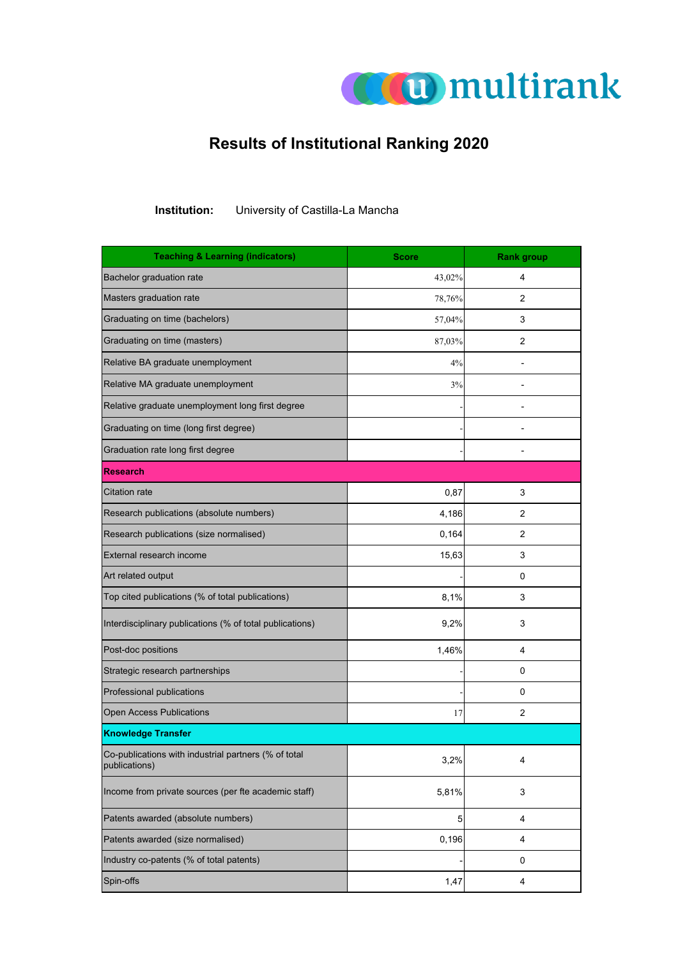

## **Results of Institutional Ranking 2020**

**Institution:** University of Castilla-La Mancha

| <b>Teaching &amp; Learning (indicators)</b>                           | <b>Score</b> | <b>Rank group</b>       |
|-----------------------------------------------------------------------|--------------|-------------------------|
| Bachelor graduation rate                                              | 43,02%       | 4                       |
| Masters graduation rate                                               | 78,76%       | 2                       |
| Graduating on time (bachelors)                                        | 57,04%       | 3                       |
| Graduating on time (masters)                                          | 87,03%       | 2                       |
| Relative BA graduate unemployment                                     | 4%           |                         |
| Relative MA graduate unemployment                                     | 3%           |                         |
| Relative graduate unemployment long first degree                      |              |                         |
| Graduating on time (long first degree)                                |              |                         |
| Graduation rate long first degree                                     |              |                         |
| <b>Research</b>                                                       |              |                         |
| <b>Citation rate</b>                                                  | 0,87         | 3                       |
| Research publications (absolute numbers)                              | 4,186        | 2                       |
| Research publications (size normalised)                               | 0,164        | 2                       |
| External research income                                              | 15,63        | 3                       |
| Art related output                                                    |              | 0                       |
| Top cited publications (% of total publications)                      | 8,1%         | 3                       |
| Interdisciplinary publications (% of total publications)              | 9,2%         | 3                       |
| Post-doc positions                                                    | 1,46%        | 4                       |
| Strategic research partnerships                                       |              | 0                       |
| Professional publications                                             |              | 0                       |
| <b>Open Access Publications</b>                                       | 17           | 2                       |
| <b>Knowledge Transfer</b>                                             |              |                         |
| Co-publications with industrial partners (% of total<br>publications) | 3,2%         | $\overline{\mathbf{4}}$ |
| Income from private sources (per fte academic staff)                  | 5,81%        | 3                       |
| Patents awarded (absolute numbers)                                    | 5            | 4                       |
| Patents awarded (size normalised)                                     | 0,196        | 4                       |
| Industry co-patents (% of total patents)                              |              | 0                       |
| Spin-offs                                                             | 1,47         | 4                       |